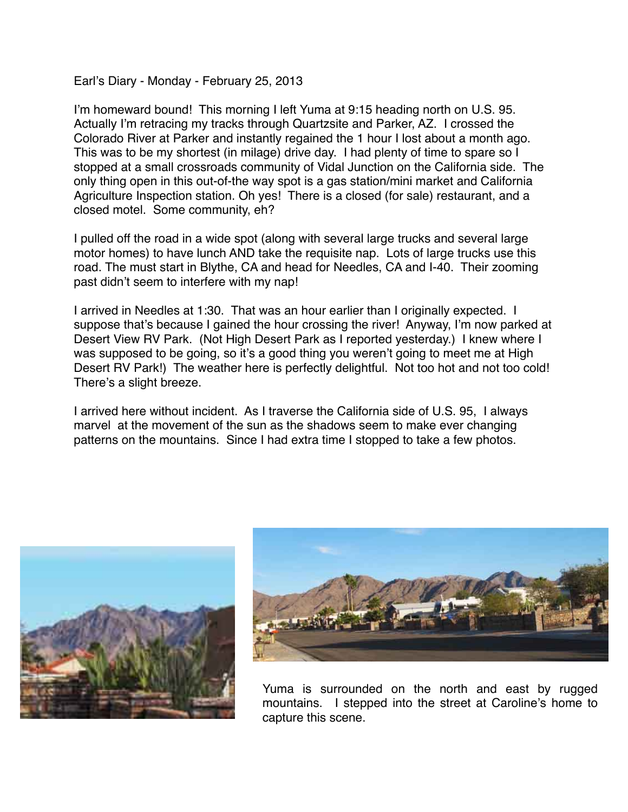Earl's Diary - Monday - February 25, 2013

I'm homeward bound! This morning I left Yuma at 9:15 heading north on U.S. 95. Actually I'm retracing my tracks through Quartzsite and Parker, AZ. I crossed the Colorado River at Parker and instantly regained the 1 hour I lost about a month ago. This was to be my shortest (in milage) drive day. I had plenty of time to spare so I stopped at a small crossroads community of Vidal Junction on the California side. The only thing open in this out-of-the way spot is a gas station/mini market and California Agriculture Inspection station. Oh yes! There is a closed (for sale) restaurant, and a closed motel. Some community, eh?

I pulled off the road in a wide spot (along with several large trucks and several large motor homes) to have lunch AND take the requisite nap. Lots of large trucks use this road. The must start in Blythe, CA and head for Needles, CA and I-40. Their zooming past didn't seem to interfere with my nap!

I arrived in Needles at 1:30. That was an hour earlier than I originally expected. I suppose that's because I gained the hour crossing the river! Anyway, I'm now parked at Desert View RV Park. (Not High Desert Park as I reported yesterday.) I knew where I was supposed to be going, so it's a good thing you weren't going to meet me at High Desert RV Park!) The weather here is perfectly delightful. Not too hot and not too cold! There's a slight breeze.

I arrived here without incident. As I traverse the California side of U.S. 95, I always marvel at the movement of the sun as the shadows seem to make ever changing patterns on the mountains. Since I had extra time I stopped to take a few photos.





Yuma is surrounded on the north and east by rugged mountains. I stepped into the street at Caroline's home to capture this scene.